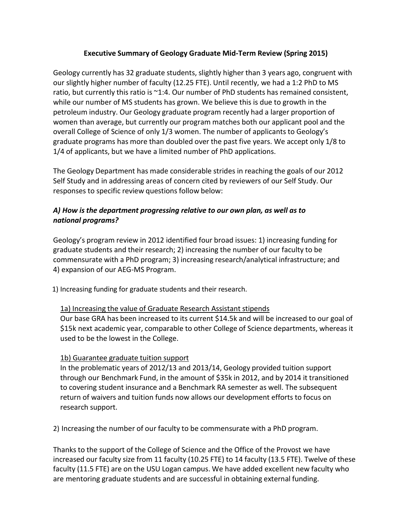## **Executive Summary of Geology Graduate Mid-Term Review (Spring 2015)**

Geology currently has 32 graduate students, slightly higher than 3 years ago, congruent with our slightly higher number of faculty (12.25 FTE). Until recently, we had a 1:2 PhD to MS ratio, but currently this ratio is ~1:4. Our number of PhD students has remained consistent, while our number of MS students has grown. We believe this is due to growth in the petroleum industry. Our Geology graduate program recently had a larger proportion of women than average, but currently our program matches both our applicant pool and the overall College of Science of only 1/3 women. The number of applicants to Geology's graduate programs has more than doubled over the past five years. We accept only 1/8 to 1/4 of applicants, but we have a limited number of PhD applications.

The Geology Department has made considerable strides in reaching the goals of our 2012 Self Study and in addressing areas of concern cited by reviewers of our Self Study. Our responses to specific review questions follow below:

# *A) How is the department progressing relative to our own plan, as well as to national programs?*

Geology's program review in 2012 identified four broad issues: 1) increasing funding for graduate students and their research; 2) increasing the number of our faculty to be commensurate with a PhD program; 3) increasing research/analytical infrastructure; and 4) expansion of our AEG-MS Program.

1) Increasing funding for graduate students and their research.

#### 1a) Increasing the value of Graduate Research Assistant stipends

Our base GRA has been increased to its current \$14.5k and will be increased to our goal of \$15k next academic year, comparable to other College of Science departments, whereas it used to be the lowest in the College.

## 1b) Guarantee graduate tuition support

In the problematic years of 2012/13 and 2013/14, Geology provided tuition support through our Benchmark Fund, in the amount of \$35k in 2012, and by 2014 it transitioned to covering student insurance and a Benchmark RA semester as well. The subsequent return of waivers and tuition funds now allows our development efforts to focus on research support.

2) Increasing the number of our faculty to be commensurate with a PhD program.

Thanks to the support of the College of Science and the Office of the Provost we have increased our faculty size from 11 faculty (10.25 FTE) to 14 faculty (13.5 FTE). Twelve of these faculty (11.5 FTE) are on the USU Logan campus. We have added excellent new faculty who are mentoring graduate students and are successful in obtaining external funding.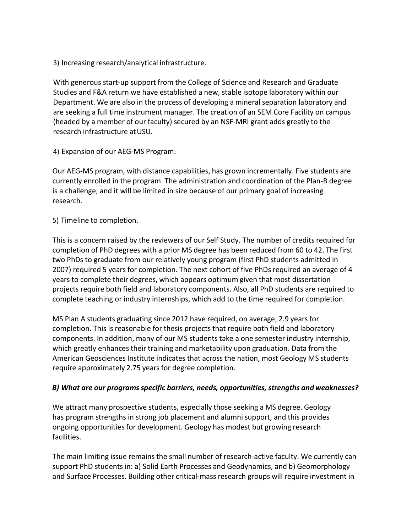3) Increasing research/analytical infrastructure.

With generous start-up support from the College of Science and Research and Graduate Studies and F&A return we have established a new, stable isotope laboratory within our Department. We are also in the process of developing a mineral separation laboratory and are seeking a full time instrument manager. The creation of an SEM Core Facility on campus (headed by a member of our faculty) secured by an NSF-MRI grant adds greatly to the research infrastructure atUSU.

4) Expansion of our AEG-MS Program.

Our AEG-MS program, with distance capabilities, has grown incrementally. Five students are currently enrolled in the program. The administration and coordination of the Plan-B degree is a challenge, and it will be limited in size because of our primary goal of increasing research.

#### 5) Timeline to completion.

This is a concern raised by the reviewers of our Self Study. The number of credits required for completion of PhD degrees with a prior MS degree has been reduced from 60 to 42. The first two PhDs to graduate from our relatively young program (first PhD students admitted in 2007) required 5 years for completion. The next cohort of five PhDs required an average of 4 years to complete their degrees, which appears optimum given that most dissertation projects require both field and laboratory components. Also, all PhD students are required to complete teaching or industry internships, which add to the time required for completion.

MS Plan A students graduating since 2012 have required, on average, 2.9 years for completion. This is reasonable for thesis projects that require both field and laboratory components. In addition, many of our MS students take a one semester industry internship, which greatly enhances their training and marketability upon graduation. Data from the American Geosciences Institute indicates that acrossthe nation, most Geology MS students require approximately 2.75 years for degree completion.

## *B) What are our programsspecific barriers, needs, opportunities, strengths andweaknesses?*

We attract many prospective students, especially those seeking a MS degree. Geology has program strengths in strong job placement and alumni support, and this provides ongoing opportunitiesfor development. Geology has modest but growing research facilities.

The main limiting issue remains the small number of research-active faculty. We currently can support PhD students in: a) Solid Earth Processes and Geodynamics, and b) Geomorphology and Surface Processes. Building other critical-mass research groups will require investment in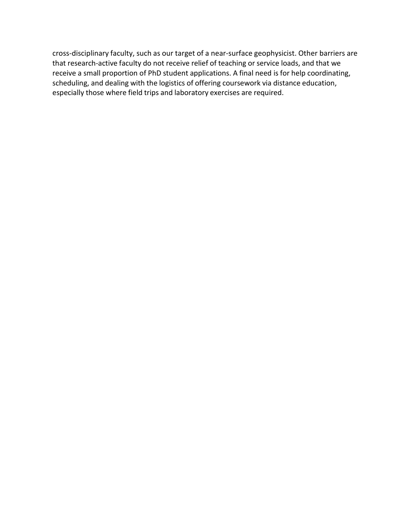cross-disciplinary faculty, such as our target of a near-surface geophysicist. Other barriers are that research-active faculty do not receive relief of teaching or service loads, and that we receive a small proportion of PhD student applications. A final need is for help coordinating, scheduling, and dealing with the logistics of offering coursework via distance education, especially those where field trips and laboratory exercises are required.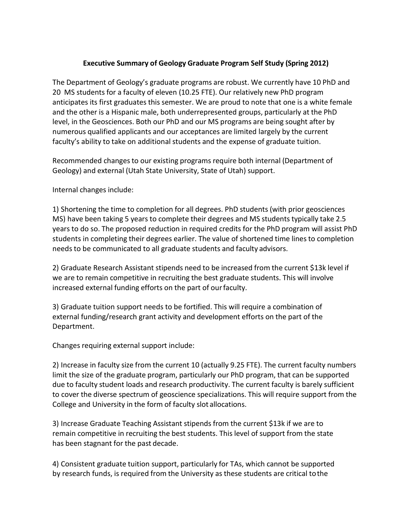## **Executive Summary of Geology Graduate Program Self Study (Spring 2012)**

The Department of Geology's graduate programs are robust. We currently have 10 PhD and 20 MS students for a faculty of eleven (10.25 FTE). Our relatively new PhD program anticipates its first graduates this semester. We are proud to note that one is a white female and the other is a Hispanic male, both underrepresented groups, particularly at the PhD level, in the Geosciences. Both our PhD and our MS programs are being sought after by numerous qualified applicants and our acceptances are limited largely by the current faculty's ability to take on additional students and the expense of graduate tuition.

Recommended changesto our existing programs require both internal (Department of Geology) and external (Utah State University, State of Utah) support.

Internal changes include:

1) Shortening the time to completion for all degrees. PhD students (with prior geosciences MS) have been taking 5 years to complete their degrees and MS students typically take 2.5 years to do so. The proposed reduction in required credits for the PhD program will assist PhD students in completing their degrees earlier. The value of shortened time lines to completion needs to be communicated to all graduate students and faculty advisors.

2) Graduate Research Assistant stipends need to be increased from the current \$13k level if we are to remain competitive in recruiting the best graduate students. This will involve increased external funding efforts on the part of ourfaculty.

3) Graduate tuition support needs to be fortified. This will require a combination of external funding/research grant activity and development efforts on the part of the Department.

Changes requiring external support include:

2) Increase in faculty size from the current 10 (actually 9.25 FTE). The current faculty numbers limit the size of the graduate program, particularly our PhD program, that can be supported due to faculty student loads and research productivity. The current faculty is barely sufficient to cover the diverse spectrum of geoscience specializations. This will require support from the College and University in the form of faculty slot allocations.

3) Increase Graduate Teaching Assistant stipends from the current \$13k if we are to remain competitive in recruiting the best students. This level of support from the state has been stagnant for the past decade.

4) Consistent graduate tuition support, particularly for TAs, which cannot be supported by research funds, is required from the University as these students are critical tothe